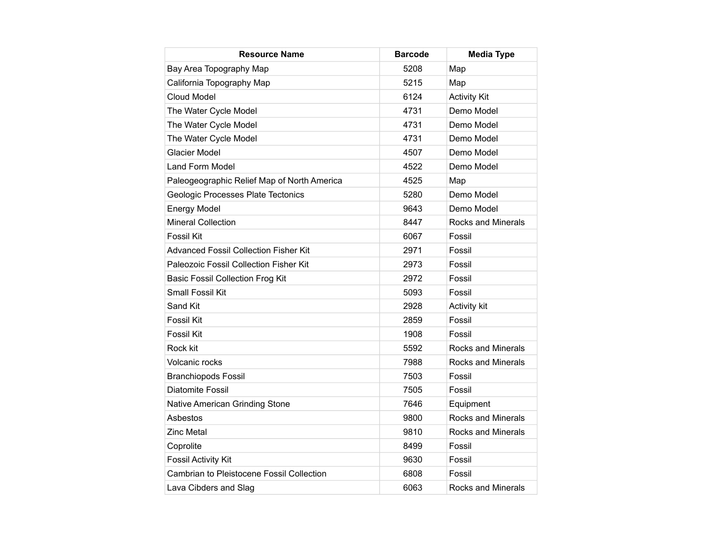| <b>Resource Name</b>                         | <b>Barcode</b> | <b>Media Type</b>         |
|----------------------------------------------|----------------|---------------------------|
| Bay Area Topography Map                      | 5208           | Map                       |
| California Topography Map                    | 5215           | Map                       |
| Cloud Model                                  | 6124           | <b>Activity Kit</b>       |
| The Water Cycle Model                        | 4731           | Demo Model                |
| The Water Cycle Model                        | 4731           | Demo Model                |
| The Water Cycle Model                        | 4731           | Demo Model                |
| <b>Glacier Model</b>                         | 4507           | Demo Model                |
| Land Form Model                              | 4522           | Demo Model                |
| Paleogeographic Relief Map of North America  | 4525           | Map                       |
| Geologic Processes Plate Tectonics           | 5280           | Demo Model                |
| <b>Energy Model</b>                          | 9643           | Demo Model                |
| <b>Mineral Collection</b>                    | 8447           | <b>Rocks and Minerals</b> |
| <b>Fossil Kit</b>                            | 6067           | Fossil                    |
| <b>Advanced Fossil Collection Fisher Kit</b> | 2971           | Fossil                    |
| Paleozoic Fossil Collection Fisher Kit       | 2973           | Fossil                    |
| <b>Basic Fossil Collection Frog Kit</b>      | 2972           | Fossil                    |
| Small Fossil Kit                             | 5093           | Fossil                    |
| Sand Kit                                     | 2928           | <b>Activity kit</b>       |
| <b>Fossil Kit</b>                            | 2859           | Fossil                    |
| <b>Fossil Kit</b>                            | 1908           | Fossil                    |
| Rock kit                                     | 5592           | <b>Rocks and Minerals</b> |
| Volcanic rocks                               | 7988           | <b>Rocks and Minerals</b> |
| <b>Branchiopods Fossil</b>                   | 7503           | Fossil                    |
| <b>Diatomite Fossil</b>                      | 7505           | Fossil                    |
| Native American Grinding Stone               | 7646           | Equipment                 |
| Asbestos                                     | 9800           | <b>Rocks and Minerals</b> |
| <b>Zinc Metal</b>                            | 9810           | <b>Rocks and Minerals</b> |
| Coprolite                                    | 8499           | Fossil                    |
| <b>Fossil Activity Kit</b>                   | 9630           | Fossil                    |
| Cambrian to Pleistocene Fossil Collection    | 6808           | Fossil                    |
| Lava Cibders and Slag                        | 6063           | Rocks and Minerals        |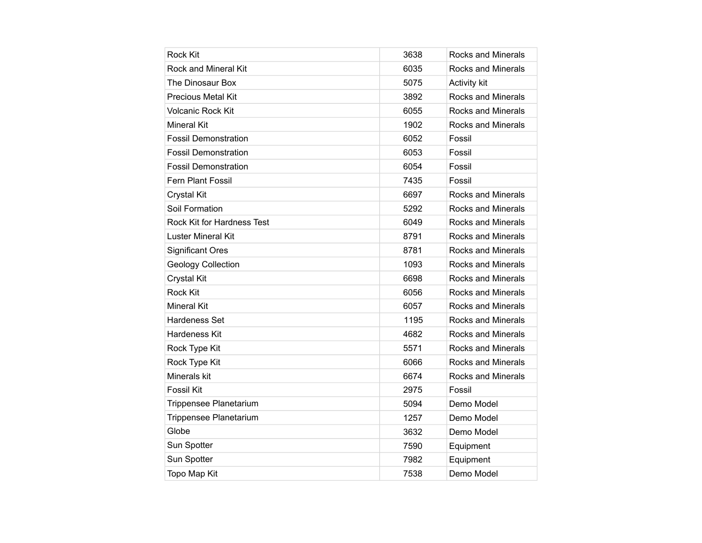| <b>Rock Kit</b>             | 3638 | <b>Rocks and Minerals</b> |
|-----------------------------|------|---------------------------|
| Rock and Mineral Kit        | 6035 | <b>Rocks and Minerals</b> |
| The Dinosaur Box            | 5075 | <b>Activity kit</b>       |
| <b>Precious Metal Kit</b>   | 3892 | <b>Rocks and Minerals</b> |
| Volcanic Rock Kit           | 6055 | Rocks and Minerals        |
| <b>Mineral Kit</b>          | 1902 | <b>Rocks and Minerals</b> |
| <b>Fossil Demonstration</b> | 6052 | Fossil                    |
| <b>Fossil Demonstration</b> | 6053 | Fossil                    |
| <b>Fossil Demonstration</b> | 6054 | Fossil                    |
| <b>Fern Plant Fossil</b>    | 7435 | Fossil                    |
| Crystal Kit                 | 6697 | Rocks and Minerals        |
| Soil Formation              | 5292 | <b>Rocks and Minerals</b> |
| Rock Kit for Hardness Test  | 6049 | Rocks and Minerals        |
| Luster Mineral Kit          | 8791 | <b>Rocks and Minerals</b> |
| <b>Significant Ores</b>     | 8781 | <b>Rocks and Minerals</b> |
| <b>Geology Collection</b>   | 1093 | <b>Rocks and Minerals</b> |
| Crystal Kit                 | 6698 | <b>Rocks and Minerals</b> |
| <b>Rock Kit</b>             | 6056 | <b>Rocks and Minerals</b> |
| Mineral Kit                 | 6057 | Rocks and Minerals        |
| Hardeness Set               | 1195 | <b>Rocks and Minerals</b> |
| Hardeness Kit               | 4682 | Rocks and Minerals        |
| Rock Type Kit               | 5571 | <b>Rocks and Minerals</b> |
| Rock Type Kit               | 6066 | <b>Rocks and Minerals</b> |
| Minerals kit                | 6674 | <b>Rocks and Minerals</b> |
| <b>Fossil Kit</b>           | 2975 | Fossil                    |
| Trippensee Planetarium      | 5094 | Demo Model                |
| Trippensee Planetarium      | 1257 | Demo Model                |
| Globe                       | 3632 | Demo Model                |
| Sun Spotter                 | 7590 | Equipment                 |
| Sun Spotter                 | 7982 | Equipment                 |
| Topo Map Kit                | 7538 | Demo Model                |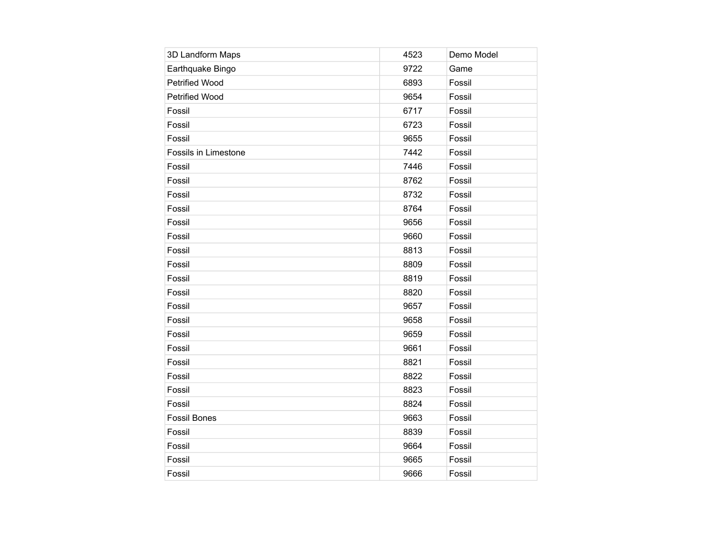| 3D Landform Maps      | 4523 | Demo Model |
|-----------------------|------|------------|
| Earthquake Bingo      | 9722 | Game       |
| <b>Petrified Wood</b> | 6893 | Fossil     |
| Petrified Wood        | 9654 | Fossil     |
| Fossil                | 6717 | Fossil     |
| Fossil                | 6723 | Fossil     |
| Fossil                | 9655 | Fossil     |
| Fossils in Limestone  | 7442 | Fossil     |
| Fossil                | 7446 | Fossil     |
| Fossil                | 8762 | Fossil     |
| Fossil                | 8732 | Fossil     |
| Fossil                | 8764 | Fossil     |
| Fossil                | 9656 | Fossil     |
| Fossil                | 9660 | Fossil     |
| Fossil                | 8813 | Fossil     |
| Fossil                | 8809 | Fossil     |
| Fossil                | 8819 | Fossil     |
| Fossil                | 8820 | Fossil     |
| Fossil                | 9657 | Fossil     |
| Fossil                | 9658 | Fossil     |
| Fossil                | 9659 | Fossil     |
| Fossil                | 9661 | Fossil     |
| Fossil                | 8821 | Fossil     |
| Fossil                | 8822 | Fossil     |
| Fossil                | 8823 | Fossil     |
| Fossil                | 8824 | Fossil     |
| <b>Fossil Bones</b>   | 9663 | Fossil     |
| Fossil                | 8839 | Fossil     |
| Fossil                | 9664 | Fossil     |
| Fossil                | 9665 | Fossil     |
| Fossil                | 9666 | Fossil     |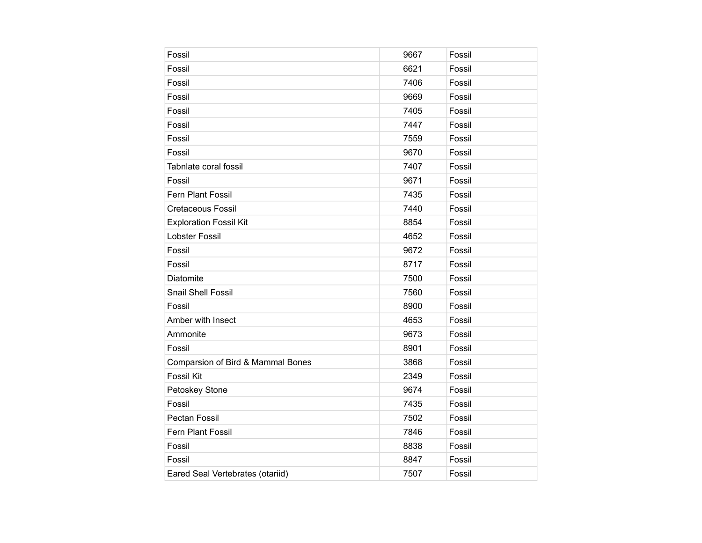| Fossil                            | 9667 | Fossil |
|-----------------------------------|------|--------|
| Fossil                            | 6621 | Fossil |
| Fossil                            | 7406 | Fossil |
| Fossil                            | 9669 | Fossil |
| Fossil                            | 7405 | Fossil |
| Fossil                            | 7447 | Fossil |
| Fossil                            | 7559 | Fossil |
| Fossil                            | 9670 | Fossil |
| Tabnlate coral fossil             | 7407 | Fossil |
| Fossil                            | 9671 | Fossil |
| Fern Plant Fossil                 | 7435 | Fossil |
| <b>Cretaceous Fossil</b>          | 7440 | Fossil |
| <b>Exploration Fossil Kit</b>     | 8854 | Fossil |
| Lobster Fossil                    | 4652 | Fossil |
| Fossil                            | 9672 | Fossil |
| Fossil                            | 8717 | Fossil |
| Diatomite                         | 7500 | Fossil |
| Snail Shell Fossil                | 7560 | Fossil |
| Fossil                            | 8900 | Fossil |
| Amber with Insect                 | 4653 | Fossil |
| Ammonite                          | 9673 | Fossil |
| Fossil                            | 8901 | Fossil |
| Comparsion of Bird & Mammal Bones | 3868 | Fossil |
| <b>Fossil Kit</b>                 | 2349 | Fossil |
| Petoskey Stone                    | 9674 | Fossil |
| Fossil                            | 7435 | Fossil |
| <b>Pectan Fossil</b>              | 7502 | Fossil |
| Fern Plant Fossil                 | 7846 | Fossil |
| Fossil                            | 8838 | Fossil |
| Fossil                            | 8847 | Fossil |
| Eared Seal Vertebrates (otariid)  | 7507 | Fossil |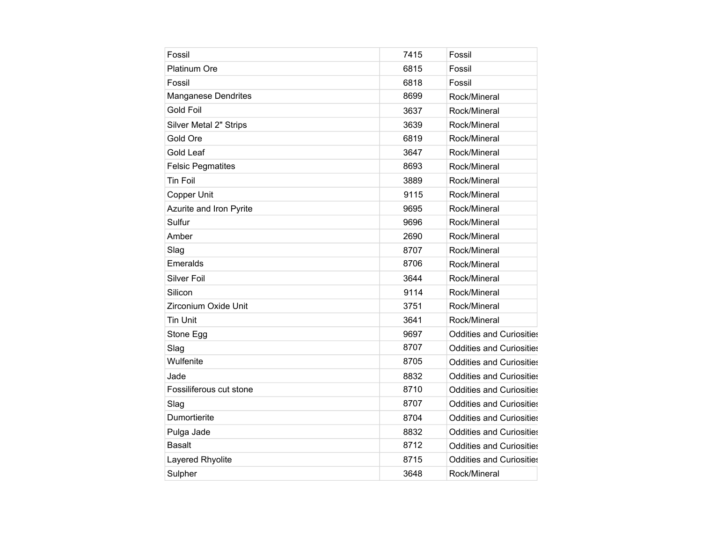| Fossil                     | 7415 | Fossil                          |
|----------------------------|------|---------------------------------|
|                            |      |                                 |
| <b>Platinum Ore</b>        | 6815 | Fossil                          |
| Fossil                     | 6818 | Fossil                          |
| <b>Manganese Dendrites</b> | 8699 | Rock/Mineral                    |
| <b>Gold Foil</b>           | 3637 | Rock/Mineral                    |
| Silver Metal 2" Strips     | 3639 | Rock/Mineral                    |
| Gold Ore                   | 6819 | Rock/Mineral                    |
| <b>Gold Leaf</b>           | 3647 | Rock/Mineral                    |
| <b>Felsic Pegmatites</b>   | 8693 | Rock/Mineral                    |
| <b>Tin Foil</b>            | 3889 | Rock/Mineral                    |
| Copper Unit                | 9115 | Rock/Mineral                    |
| Azurite and Iron Pyrite    | 9695 | Rock/Mineral                    |
| Sulfur                     | 9696 | Rock/Mineral                    |
| Amber                      | 2690 | Rock/Mineral                    |
| Slag                       | 8707 | Rock/Mineral                    |
| Emeralds                   | 8706 | Rock/Mineral                    |
| <b>Silver Foil</b>         | 3644 | Rock/Mineral                    |
| Silicon                    | 9114 | Rock/Mineral                    |
| Zirconium Oxide Unit       | 3751 | Rock/Mineral                    |
| <b>Tin Unit</b>            | 3641 | Rock/Mineral                    |
| Stone Egg                  | 9697 | <b>Oddities and Curiosities</b> |
| Slag                       | 8707 | <b>Oddities and Curiosities</b> |
| Wulfenite                  | 8705 | <b>Oddities and Curiosities</b> |
| Jade                       | 8832 | <b>Oddities and Curiosities</b> |
| Fossiliferous cut stone    | 8710 | <b>Oddities and Curiosities</b> |
| Slag                       | 8707 | <b>Oddities and Curiosities</b> |
| Dumortierite               | 8704 | <b>Oddities and Curiosities</b> |
| Pulga Jade                 | 8832 | <b>Oddities and Curiosities</b> |
| <b>Basalt</b>              | 8712 | <b>Oddities and Curiosities</b> |
| Layered Rhyolite           | 8715 | <b>Oddities and Curiosities</b> |
| Sulpher                    | 3648 | Rock/Mineral                    |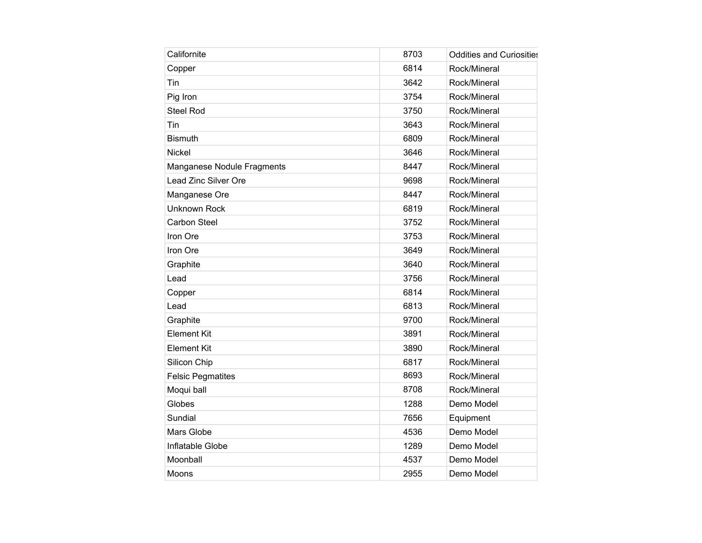| Californite                | 8703 | <b>Oddities and Curiosities</b> |
|----------------------------|------|---------------------------------|
| Copper                     | 6814 | Rock/Mineral                    |
| Tin                        | 3642 | Rock/Mineral                    |
| Pig Iron                   | 3754 | Rock/Mineral                    |
| Steel Rod                  | 3750 | Rock/Mineral                    |
| Tin                        | 3643 | Rock/Mineral                    |
| <b>Bismuth</b>             | 6809 | Rock/Mineral                    |
| <b>Nickel</b>              | 3646 | Rock/Mineral                    |
| Manganese Nodule Fragments | 8447 | Rock/Mineral                    |
| Lead Zinc Silver Ore       | 9698 | Rock/Mineral                    |
| Manganese Ore              | 8447 | Rock/Mineral                    |
| Unknown Rock               | 6819 | Rock/Mineral                    |
| <b>Carbon Steel</b>        | 3752 | Rock/Mineral                    |
| Iron Ore                   | 3753 | Rock/Mineral                    |
| Iron Ore                   | 3649 | Rock/Mineral                    |
| Graphite                   | 3640 | Rock/Mineral                    |
| Lead                       | 3756 | Rock/Mineral                    |
| Copper                     | 6814 | Rock/Mineral                    |
| Lead                       | 6813 | Rock/Mineral                    |
| Graphite                   | 9700 | Rock/Mineral                    |
| <b>Element Kit</b>         | 3891 | Rock/Mineral                    |
| <b>Element Kit</b>         | 3890 | Rock/Mineral                    |
| Silicon Chip               | 6817 | Rock/Mineral                    |
| <b>Felsic Pegmatites</b>   | 8693 | Rock/Mineral                    |
| Moqui ball                 | 8708 | Rock/Mineral                    |
| Globes                     | 1288 | Demo Model                      |
| Sundial                    | 7656 | Equipment                       |
| Mars Globe                 | 4536 | Demo Model                      |
| Inflatable Globe           | 1289 | Demo Model                      |
| Moonball                   | 4537 | Demo Model                      |
| Moons                      | 2955 | Demo Model                      |